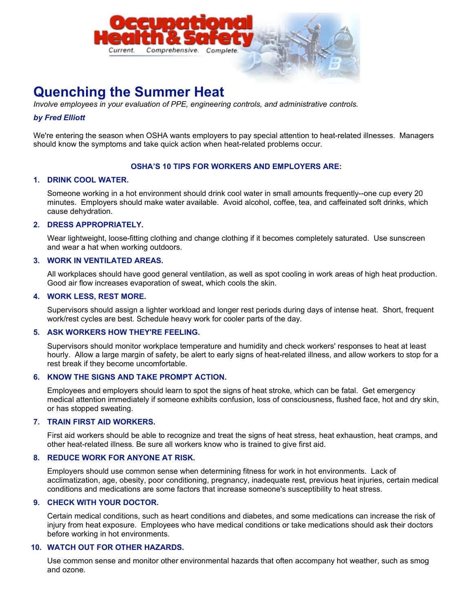

# **Quenching the Summer Heat**

*Involve employees in your evaluation of PPE, engineering controls, and administrative controls.*

# *by Fred Elliott*

We're entering the season when OSHA wants employers to pay special attention to heat-related illnesses. Managers should know the symptoms and take quick action when heat-related problems occur.

#### **OSHA'S 10 TIPS FOR WORKERS AND EMPLOYERS ARE:**

# **1. DRINK COOL WATER.**

Someone working in a hot environment should drink cool water in small amounts frequently--one cup every 20 minutes. Employers should make water available. Avoid alcohol, coffee, tea, and caffeinated soft drinks, which cause dehydration.

### **2. DRESS APPROPRIATELY.**

Wear lightweight, loose-fitting clothing and change clothing if it becomes completely saturated. Use sunscreen and wear a hat when working outdoors.

#### **3. WORK IN VENTILATED AREAS.**

All workplaces should have good general ventilation, as well as spot cooling in work areas of high heat production. Good air flow increases evaporation of sweat, which cools the skin.

# **4. WORK LESS, REST MORE.**

Supervisors should assign a lighter workload and longer rest periods during days of intense heat. Short, frequent work/rest cycles are best. Schedule heavy work for cooler parts of the day.

#### **5. ASK WORKERS HOW THEY'RE FEELING.**

Supervisors should monitor workplace temperature and humidity and check workers' responses to heat at least hourly. Allow a large margin of safety, be alert to early signs of heat-related illness, and allow workers to stop for a rest break if they become uncomfortable.

### **6. KNOW THE SIGNS AND TAKE PROMPT ACTION.**

Employees and employers should learn to spot the signs of heat stroke, which can be fatal. Get emergency medical attention immediately if someone exhibits confusion, loss of consciousness, flushed face, hot and dry skin, or has stopped sweating.

#### **7. TRAIN FIRST AID WORKERS.**

First aid workers should be able to recognize and treat the signs of heat stress, heat exhaustion, heat cramps, and other heat-related illness. Be sure all workers know who is trained to give first aid.

# **8. REDUCE WORK FOR ANYONE AT RISK.**

Employers should use common sense when determining fitness for work in hot environments. Lack of acclimatization, age, obesity, poor conditioning, pregnancy, inadequate rest, previous heat injuries, certain medical conditions and medications are some factors that increase someone's susceptibility to heat stress.

## **9. CHECK WITH YOUR DOCTOR.**

Certain medical conditions, such as heart conditions and diabetes, and some medications can increase the risk of injury from heat exposure. Employees who have medical conditions or take medications should ask their doctors before working in hot environments.

# **10. WATCH OUT FOR OTHER HAZARDS.**

Use common sense and monitor other environmental hazards that often accompany hot weather, such as smog and ozone.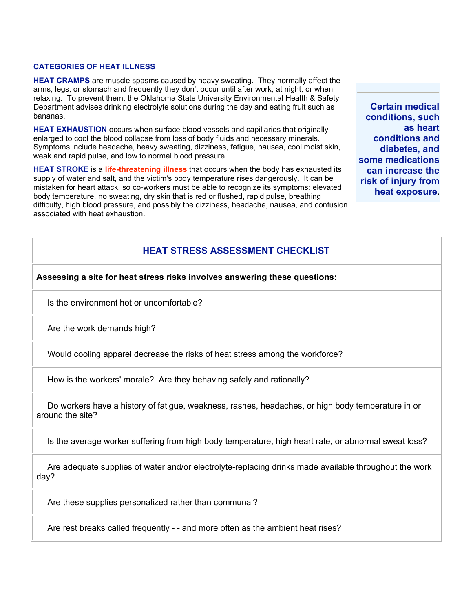#### **CATEGORIES OF HEAT ILLNESS**

**HEAT CRAMPS** are muscle spasms caused by heavy sweating. They normally affect the arms, legs, or stomach and frequently they don't occur until after work, at night, or when relaxing. To prevent them, the Oklahoma State University Environmental Health & Safety Department advises drinking electrolyte solutions during the day and eating fruit such as bananas.

**HEAT EXHAUSTION** occurs when surface blood vessels and capillaries that originally enlarged to cool the blood collapse from loss of body fluids and necessary minerals. Symptoms include headache, heavy sweating, dizziness, fatigue, nausea, cool moist skin, weak and rapid pulse, and low to normal blood pressure.

**HEAT STROKE** is a **life-threatening illness** that occurs when the body has exhausted its supply of water and salt, and the victim's body temperature rises dangerously. It can be mistaken for heart attack, so co-workers must be able to recognize its symptoms: elevated body temperature, no sweating, dry skin that is red or flushed, rapid pulse, breathing difficulty, high blood pressure, and possibly the dizziness, headache, nausea, and confusion associated with heat exhaustion.

**Certain medical conditions, such as heart conditions and diabetes, and some medications can increase the risk of injury from heat exposure.**

# **HEAT STRESS ASSESSMENT CHECKLIST**

**Assessing a site for heat stress risks involves answering these questions:**

Is the environment hot or uncomfortable?

Are the work demands high?

Would cooling apparel decrease the risks of heat stress among the workforce?

How is the workers' morale? Are they behaving safely and rationally?

 Do workers have a history of fatigue, weakness, rashes, headaches, or high body temperature in or around the site?

Is the average worker suffering from high body temperature, high heart rate, or abnormal sweat loss?

 Are adequate supplies of water and/or electrolyte-replacing drinks made available throughout the work day?

Are these supplies personalized rather than communal?

Are rest breaks called frequently - - and more often as the ambient heat rises?